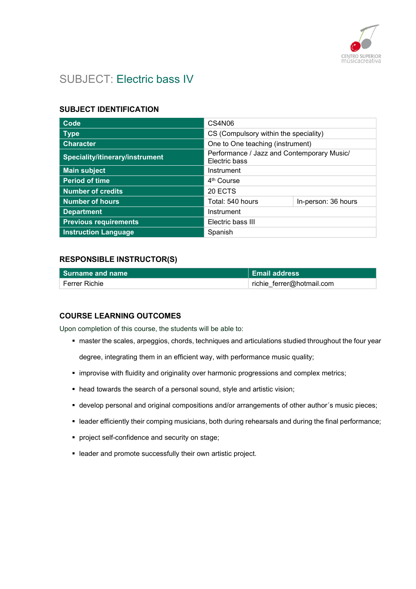

# SUBJECT: Electric bass IV

### SUBJECT IDENTIFICATION

| Code                            | CS4N06                                                      |                     |
|---------------------------------|-------------------------------------------------------------|---------------------|
| <b>Type</b>                     | CS (Compulsory within the speciality)                       |                     |
| <b>Character</b>                | One to One teaching (instrument)                            |                     |
| Speciality/itinerary/instrument | Performance / Jazz and Contemporary Music/<br>Electric bass |                     |
| <b>Main subject</b>             | Instrument                                                  |                     |
| <b>Period of time</b>           | 4 <sup>th</sup> Course                                      |                     |
| <b>Number of credits</b>        | 20 ECTS                                                     |                     |
| <b>Number of hours</b>          | Total: 540 hours                                            | In-person: 36 hours |
| <b>Department</b>               | Instrument                                                  |                     |
| <b>Previous requirements</b>    | Electric bass III                                           |                     |
| <b>Instruction Language</b>     | Spanish                                                     |                     |

### RESPONSIBLE INSTRUCTOR(S)

| l Surname and name | <b>Email address</b>      |
|--------------------|---------------------------|
| ์ Ferrer Richie    | richie_ferrer@hotmail.com |

### COURSE LEARNING OUTCOMES

Upon completion of this course, the students will be able to:

master the scales, arpeggios, chords, techniques and articulations studied throughout the four year

degree, integrating them in an efficient way, with performance music quality;

- **·** improvise with fluidity and originality over harmonic progressions and complex metrics;
- head towards the search of a personal sound, style and artistic vision;
- develop personal and original compositions and/or arrangements of other author´s music pieces;
- leader efficiently their comping musicians, both during rehearsals and during the final performance;
- project self-confidence and security on stage;
- leader and promote successfully their own artistic project.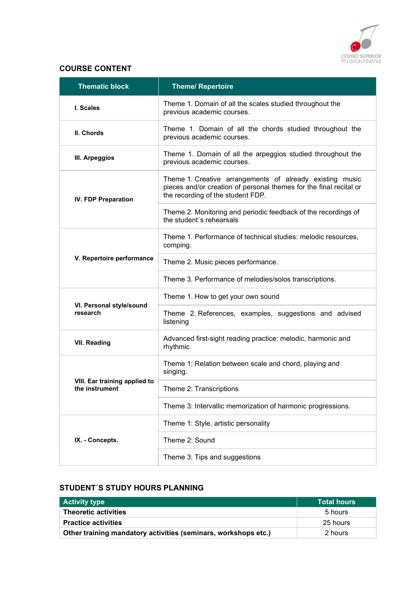

## COURSE CONTENT

| <b>Thematic block</b>                           | <b>Theme/ Repertoire</b>                                                                                                                                            |
|-------------------------------------------------|---------------------------------------------------------------------------------------------------------------------------------------------------------------------|
| I. Scales                                       | Theme 1. Domain of all the scales studied throughout the<br>previous academic courses.                                                                              |
| II. Chords                                      | Theme 1. Domain of all the chords studied throughout the<br>previous academic courses.                                                                              |
| III. Arpeggios                                  | Theme 1. Domain of all the arpeggios studied throughout the<br>previous academic courses.                                                                           |
| <b>IV. FDP Preparation</b>                      | Theme 1. Creative arrangements of already existing music<br>pieces and/or creation of personal themes for the final recital or<br>the recording of the student FDP. |
|                                                 | Theme 2. Monitoring and periodic feedback of the recordings of<br>the student's rehearsals                                                                          |
|                                                 | Theme 1. Performance of technical studies: melodic resources,<br>comping.                                                                                           |
| V. Repertoire performance                       | Theme 2. Music pieces performance.                                                                                                                                  |
|                                                 | Theme 3. Performance of melodies/solos transcriptions.                                                                                                              |
|                                                 | Theme 1. How to get your own sound                                                                                                                                  |
| VI. Personal style/sound<br>research            | Theme 2. References, examples, suggestions and advised<br>listening                                                                                                 |
| <b>VII. Reading</b>                             | Advanced first-sight reading practice: melodic, harmonic and<br>rhythmic                                                                                            |
|                                                 | Theme 1: Relation between scale and chord, playing and<br>singing.                                                                                                  |
| VIII. Ear training applied to<br>the instrument | Theme 2: Transcriptions                                                                                                                                             |
|                                                 | Theme 3: Intervallic memorization of harmonic progressions.                                                                                                         |
|                                                 | Theme 1: Style, artistic personality                                                                                                                                |
| IX. - Concepts.                                 | Theme 2: Sound                                                                                                                                                      |
|                                                 | Theme 3: Tips and suggestions                                                                                                                                       |

# STUDENT´S STUDY HOURS PLANNING

| <b>Activity type</b>                                           | <b>Total hours</b> |
|----------------------------------------------------------------|--------------------|
| <b>Theoretic activities</b>                                    | 5 hours            |
| <b>Practice activities</b>                                     | 25 hours           |
| Other training mandatory activities (seminars, workshops etc.) | 2 hours            |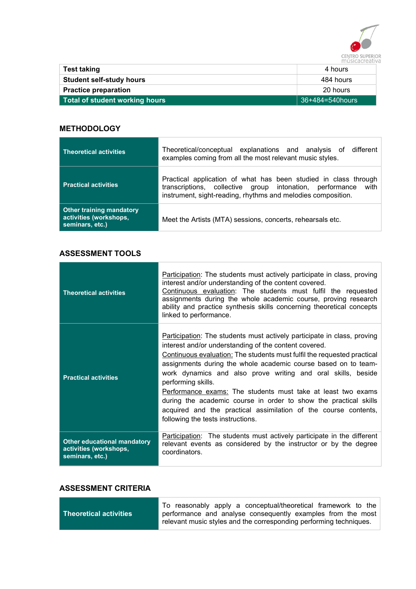

|                                 | 11   USIC CI COLI |
|---------------------------------|-------------------|
| Test taking                     | 4 hours           |
| <b>Student self-study hours</b> | 484 hours         |
| <b>Practice preparation</b>     | 20 hours          |
| Total of student working hours  | 36+484=540hours   |

## **METHODOLOGY**

| <b>Theoretical activities</b>                                                | Theoretical/conceptual explanations and analysis of different<br>examples coming from all the most relevant music styles.                                                                           |
|------------------------------------------------------------------------------|-----------------------------------------------------------------------------------------------------------------------------------------------------------------------------------------------------|
| <b>Practical activities</b>                                                  | Practical application of what has been studied in class through<br>transcriptions, collective group intonation, performance<br>with<br>instrument, sight-reading, rhythms and melodies composition. |
| <b>Other training mandatory</b><br>activities (workshops,<br>seminars, etc.) | Meet the Artists (MTA) sessions, concerts, rehearsals etc.                                                                                                                                          |

## ASSESSMENT TOOLS

| <b>Theoretical activities</b>                                                   | Participation: The students must actively participate in class, proving<br>interest and/or understanding of the content covered.<br>Continuous evaluation: The students must fulfil the requested<br>assignments during the whole academic course, proving research<br>ability and practice synthesis skills concerning theoretical concepts<br>linked to performance.                                                                                                                                                                                                                                          |
|---------------------------------------------------------------------------------|-----------------------------------------------------------------------------------------------------------------------------------------------------------------------------------------------------------------------------------------------------------------------------------------------------------------------------------------------------------------------------------------------------------------------------------------------------------------------------------------------------------------------------------------------------------------------------------------------------------------|
| <b>Practical activities</b>                                                     | Participation: The students must actively participate in class, proving<br>interest and/or understanding of the content covered.<br>Continuous evaluation: The students must fulfil the requested practical<br>assignments during the whole academic course based on to team-<br>work dynamics and also prove writing and oral skills, beside<br>performing skills.<br>Performance exams: The students must take at least two exams<br>during the academic course in order to show the practical skills<br>acquired and the practical assimilation of the course contents,<br>following the tests instructions. |
| <b>Other educational mandatory</b><br>activities (workshops,<br>seminars, etc.) | Participation: The students must actively participate in the different<br>relevant events as considered by the instructor or by the degree<br>coordinators.                                                                                                                                                                                                                                                                                                                                                                                                                                                     |

# ASSESSMENT CRITERIA

 $\sim$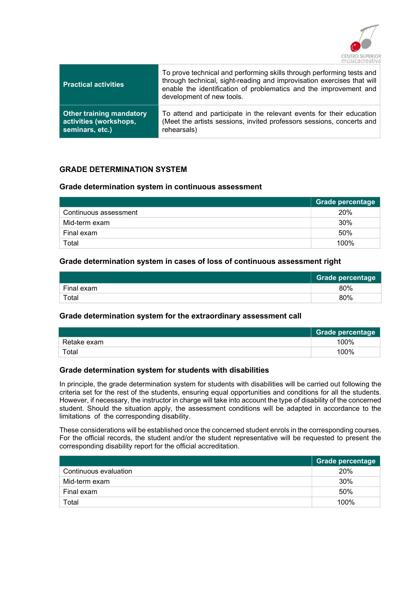

| <b>Practical activities</b>     | To prove technical and performing skills through performing tests and<br>through technical, sight-reading and improvisation exercises that will<br>enable the identification of problematics and the improvement and<br>development of new tools. |
|---------------------------------|---------------------------------------------------------------------------------------------------------------------------------------------------------------------------------------------------------------------------------------------------|
| <b>Other training mandatory</b> | To attend and participate in the relevant events for their education                                                                                                                                                                              |
| activities (workshops,          | (Meet the artists sessions, invited professors sessions, concerts and                                                                                                                                                                             |
| seminars, etc.)                 | rehearsals)                                                                                                                                                                                                                                       |

## GRADE DETERMINATION SYSTEM

#### Grade determination system in continuous assessment

|                       | Grade percentage |
|-----------------------|------------------|
| Continuous assessment | 20%              |
| Mid-term exam         | 30%              |
| Final exam            | 50%              |
| Total                 | 100%             |

#### Grade determination system in cases of loss of continuous assessment right

|            | Grade percentage |
|------------|------------------|
| Final exam | 80%              |
| Total      | 80%              |

### Grade determination system for the extraordinary assessment call

|             | <b>Grade percentage</b> |
|-------------|-------------------------|
| Retake exam | 100%                    |
| Total       | 100%                    |

#### Grade determination system for students with disabilities

In principle, the grade determination system for students with disabilities will be carried out following the criteria set for the rest of the students, ensuring equal opportunities and conditions for all the students. However, if necessary, the instructor in charge will take into account the type of disability of the concerned student. Should the situation apply, the assessment conditions will be adapted in accordance to the limitations of the corresponding disability.

These considerations will be established once the concerned student enrols in the corresponding courses. For the official records, the student and/or the student representative will be requested to present the corresponding disability report for the official accreditation.

|                       | Grade percentage |
|-----------------------|------------------|
| Continuous evaluation | 20%              |
| Mid-term exam         | 30%              |
| Final exam            | 50%              |
| Total                 | 100%             |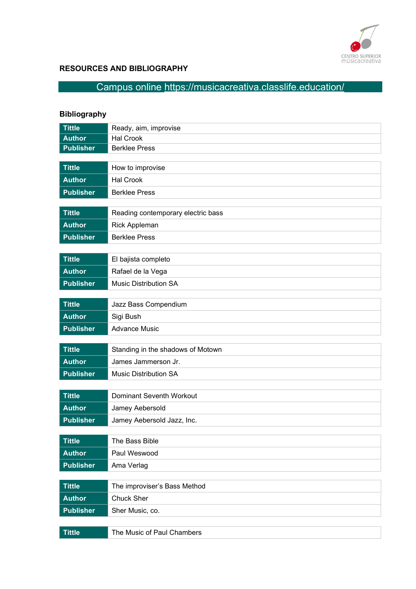

# RESOURCES AND BIBLIOGRAPHY

# Campus online https://musicacreativa.classlife.education/

# Bibliography

| <b>Tittle</b>    | Ready, aim, improvise              |
|------------------|------------------------------------|
| <b>Author</b>    | <b>Hal Crook</b>                   |
| <b>Publisher</b> | <b>Berklee Press</b>               |
|                  |                                    |
| <b>Tittle</b>    | How to improvise                   |
| <b>Author</b>    | <b>Hal Crook</b>                   |
| <b>Publisher</b> | <b>Berklee Press</b>               |
|                  |                                    |
| <b>Tittle</b>    | Reading contemporary electric bass |
| <b>Author</b>    | Rick Appleman                      |
| <b>Publisher</b> | <b>Berklee Press</b>               |
|                  |                                    |
| <b>Tittle</b>    | El bajista completo                |
| <b>Author</b>    | Rafael de la Vega                  |
| <b>Publisher</b> | <b>Music Distribution SA</b>       |
|                  |                                    |
| <b>Tittle</b>    | Jazz Bass Compendium               |
| <b>Author</b>    | Sigi Bush                          |
| <b>Publisher</b> | <b>Advance Music</b>               |
|                  |                                    |
| <b>Tittle</b>    | Standing in the shadows of Motown  |
| <b>Author</b>    | James Jammerson Jr.                |
| <b>Publisher</b> | <b>Music Distribution SA</b>       |
|                  |                                    |
| <b>Tittle</b>    | Dominant Seventh Workout           |
| <b>Author</b>    | Jamey Aebersold                    |
| <b>Publisher</b> | Jamey Aebersold Jazz, Inc.         |
|                  |                                    |
| <b>Tittle</b>    | The Bass Bible                     |
| <b>Author</b>    | Paul Weswood                       |
| <b>Publisher</b> | Ama Verlag                         |
|                  |                                    |
| <b>Tittle</b>    | The improviser's Bass Method       |
| <b>Author</b>    | <b>Chuck Sher</b>                  |
| <b>Publisher</b> | Sher Music, co.                    |
|                  |                                    |
| <b>Tittle</b>    | The Music of Paul Chambers         |